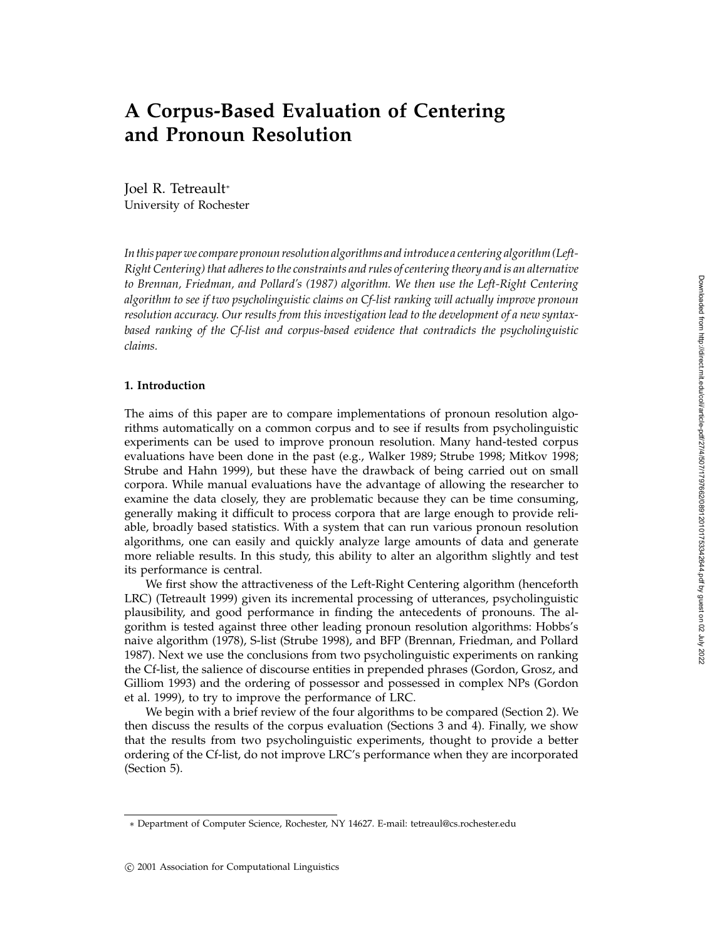# **A Corpus-Based Evaluation of Centering and Pronoun Resolution**

Joel R. Tetreault<sup>∗</sup> University of Rochester

*In this paper we compare pronoun resolution algorithms and introduce a centering algorithm (Left-Right Centering) that adheres to the constraints and rules of centering theory and is an alternative to Brennan, Friedman, and Pollard's (1987) algorithm. We then use the Left-Right Centering algorithm to see if two psycholinguistic claims on Cf-list ranking will actually improve pronoun resolution accuracy. Our results from this investigation lead to the development of a new syntaxbased ranking of the Cf-list and corpus-based evidence that contradicts the psycholinguistic claims.*

## **1. Introduction**

The aims of this paper are to compare implementations of pronoun resolution algorithms automatically on a common corpus and to see if results from psycholinguistic experiments can be used to improve pronoun resolution. Many hand-tested corpus evaluations have been done in the past (e.g., Walker 1989; Strube 1998; Mitkov 1998; Strube and Hahn 1999), but these have the drawback of being carried out on small corpora. While manual evaluations have the advantage of allowing the researcher to examine the data closely, they are problematic because they can be time consuming, generally making it difficult to process corpora that are large enough to provide reliable, broadly based statistics. With a system that can run various pronoun resolution algorithms, one can easily and quickly analyze large amounts of data and generate more reliable results. In this study, this ability to alter an algorithm slightly and test its performance is central.

We first show the attractiveness of the Left-Right Centering algorithm (henceforth LRC) (Tetreault 1999) given its incremental processing of utterances, psycholinguistic plausibility, and good performance in finding the antecedents of pronouns. The algorithm is tested against three other leading pronoun resolution algorithms: Hobbs's naive algorithm (1978), S-list (Strube 1998), and BFP (Brennan, Friedman, and Pollard 1987). Next we use the conclusions from two psycholinguistic experiments on ranking the Cf-list, the salience of discourse entities in prepended phrases (Gordon, Grosz, and Gilliom 1993) and the ordering of possessor and possessed in complex NPs (Gordon et al. 1999), to try to improve the performance of LRC.

We begin with a brief review of the four algorithms to be compared (Section 2). We then discuss the results of the corpus evaluation (Sections 3 and 4). Finally, we show that the results from two psycholinguistic experiments, thought to provide a better ordering of the Cf-list, do not improve LRC's performance when they are incorporated (Section 5).

<sup>∗</sup> Department of Computer Science, Rochester, NY 14627. E-mail: tetreaul@cs.rochester.edu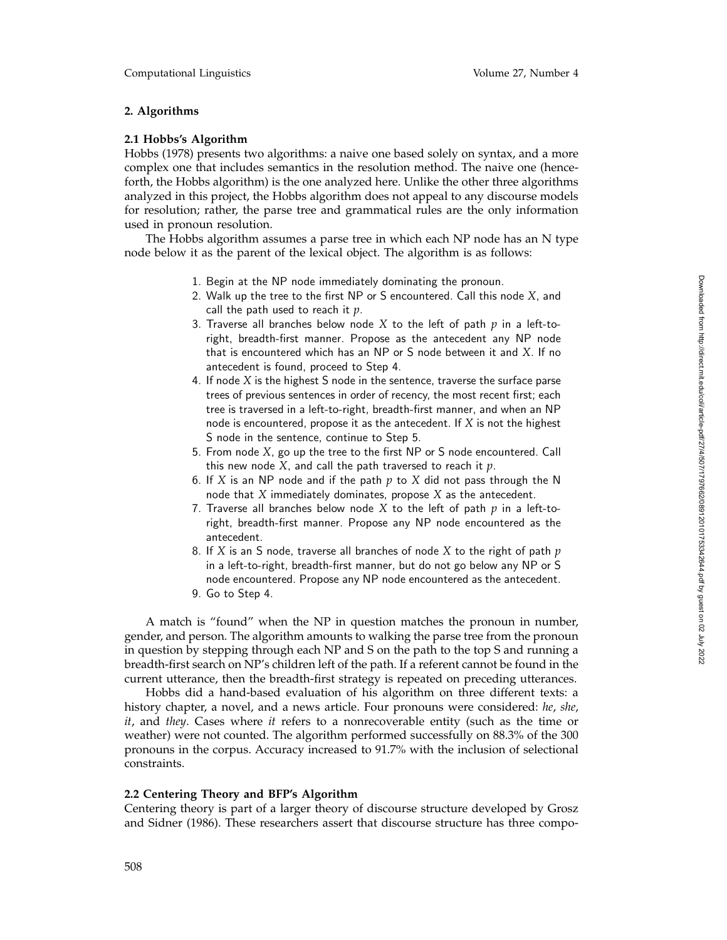## **2. Algorithms**

## **2.1 Hobbs's Algorithm**

Hobbs (1978) presents two algorithms: a naive one based solely on syntax, and a more complex one that includes semantics in the resolution method. The naive one (henceforth, the Hobbs algorithm) is the one analyzed here. Unlike the other three algorithms analyzed in this project, the Hobbs algorithm does not appeal to any discourse models for resolution; rather, the parse tree and grammatical rules are the only information used in pronoun resolution.

The Hobbs algorithm assumes a parse tree in which each NP node has an N type node below it as the parent of the lexical object. The algorithm is as follows:

- 1. Begin at the NP node immediately dominating the pronoun.
- 2. Walk up the tree to the first NP or S encountered. Call this node *X*, and call the path used to reach it *p* .
- 3. Traverse all branches below node *X* to the left of path *p* in a left-toright, breadth-first manner. Propose as the antecedent any NP node that is encountered which has an NP or S node between it and *X*. If no antecedent is found, proceed to Step 4.
- 4. If node *X* is the highest S node in the sentence, traverse the surface parse trees of previous sentences in order of recency, the most recent first; each tree is traversed in a left-to-right, breadth-first manner, and when an NP node is encountered, propose it as the antecedent. If *X* is not the highest S node in the sentence, continue to Step 5.
- 5. From node *X*, go up the tree to the first NP or S node encountered. Call this new node  $X$ , and call the path traversed to reach it  $p$ .
- 6. If  $X$  is an NP node and if the path  $p$  to  $X$  did not pass through the N node that *X* immediately dominates, propose *X* as the antecedent.
- 7. Traverse all branches below node *X* to the left of path *p* in a left-toright, breadth-first manner. Propose any NP node encountered as the antecedent.
- 8. If *X* is an S node, traverse all branches of node *X* to the right of path *p* in a left-to-right, breadth-first manner, but do not go below any NP or S node encountered. Propose any NP node encountered as the antecedent.
- 9. Go to Step 4.

A match is "found" when the NP in question matches the pronoun in number, gender, and person. The algorithm amounts to walking the parse tree from the pronoun in question by stepping through each NP and S on the path to the top S and running a breadth-first search on NP's children left of the path. If a referent cannot be found in the current utterance, then the breadth-first strategy is repeated on preceding utterances.

Hobbs did a hand-based evaluation of his algorithm on three different texts: a history chapter, a novel, and a news article. Four pronouns were considered: *he* , *she* , *it*, and *they*. Cases where *it* refers to a nonrecoverable entity (such as the time or weather) were not counted. The algorithm performed successfully on 88.3% of the 300 pronouns in the corpus. Accuracy increased to 91.7% with the inclusion of selectional constraints.

#### **2.2 Centering Theory and BFP's Algorithm**

Centering theory is part of a larger theory of discourse structure developed by Grosz and Sidner (1986). These researchers assert that discourse structure has three compo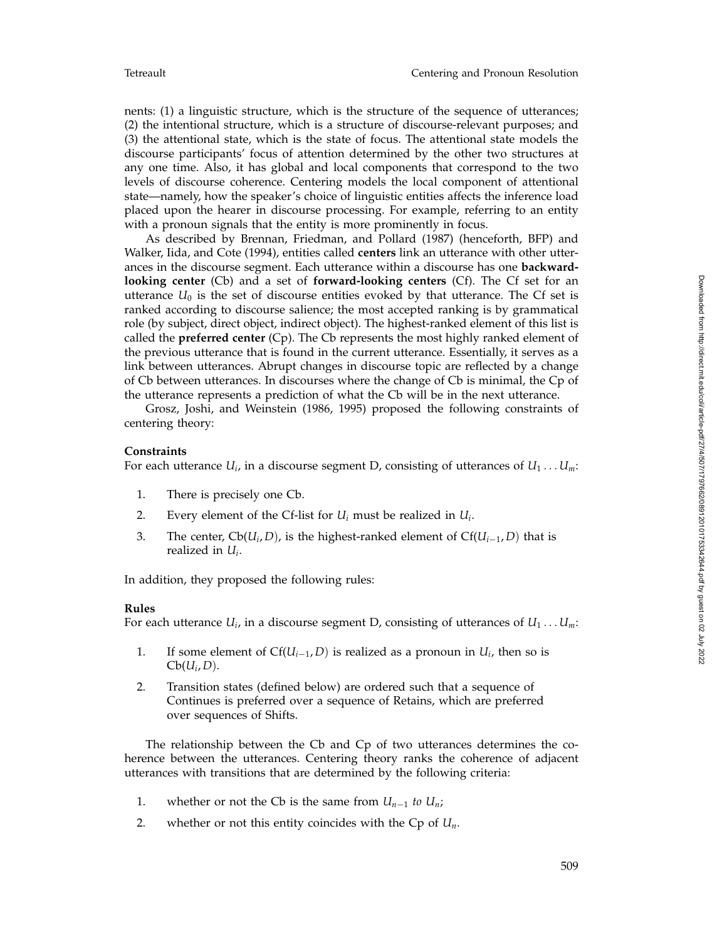nents: (1) a linguistic structure, which is the structure of the sequence of utterances; (2) the intentional structure, which is a structure of discourse-relevant purposes; and (3) the attentional state, which is the state of focus. The attentional state models the discourse participants' focus of attention determined by the other two structures at any one time. Also, it has global and local components that correspond to the two levels of discourse coherence. Centering models the local component of attentional state—namely, how the speaker's choice of linguistic entities affects the inference load placed upon the hearer in discourse processing. For example, referring to an entity with a pronoun signals that the entity is more prominently in focus.

As described by Brennan, Friedman, and Pollard (1987) (henceforth, BFP) and Walker, Iida, and Cote (1994), entities called **centers** link an utterance with other utterances in the discourse segment. Each utterance within a discourse has one **backwardlooking center** (Cb) and a set of **forward-looking centers** (Cf). The Cf set for an utterance  $U_0$  is the set of discourse entities evoked by that utterance. The Cf set is ranked according to discourse salience; the most accepted ranking is by grammatical role (by subject, direct object, indirect object). The highest-ranked element of this list is called the **preferred center** (Cp). The Cb represents the most highly ranked element of the previous utterance that is found in the current utterance. Essentially, it serves as a link between utterances. Abrupt changes in discourse topic are reflected by a change of Cb between utterances. In discourses where the change of Cb is minimal, the Cp of the utterance represents a prediction of what the Cb will be in the next utterance.

Grosz, Joshi, and Weinstein (1986, 1995) proposed the following constraints of centering theory:

## **Constraints**

For each utterance  $U_i$ , in a discourse segment D, consisting of utterances of  $U_1 \dots U_m$ :

- 1. There is precisely one Cb.
- 2. Every element of the Cf-list for  $U_i$  must be realized in  $U_i$ .
- 3. The center,  $Cb(U_i, D)$ , is the highest-ranked element of  $Cf(U_{i-1}, D)$  that is realized in *U i* .

In addition, they proposed the following rules:

#### **Rules**

For each utterance  $U_i$ , in a discourse segment D, consisting of utterances of  $U_1 \dots U_m$ :

- 1. If some element of  $Cf(U_{i-1}, D)$  is realized as a pronoun in  $U_i$ , then so is  $Cb(U_i, D)$ .
- 2. Transition states (defined below) are ordered such that a sequence of Continues is preferred over a sequence of Retains, which are preferred over sequences of Shifts.

The relationship between the Cb and Cp of two utterances determines the coherence between the utterances. Centering theory ranks the coherence of adjacent utterances with transitions that are determined by the following criteria:

- 1. whether or not the Cb is the same from  $U_{n-1}$  to  $U_n$ ;
- 2. whether or not this entity coincides with the Cp of *Un* .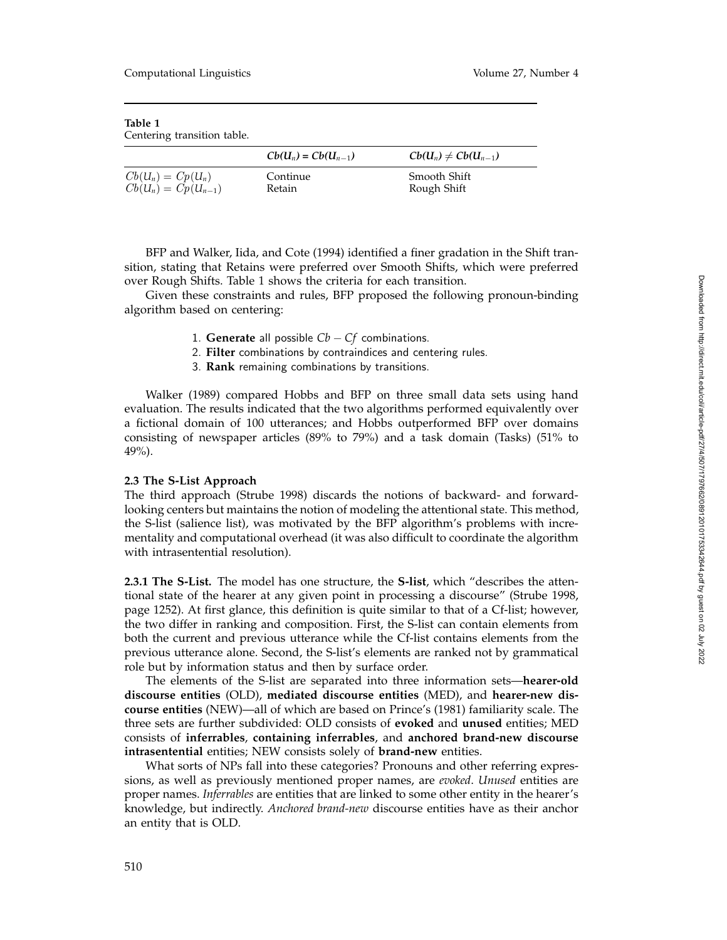| Table 1                     |  |
|-----------------------------|--|
| Centering transition table. |  |

|                       | $Cb(U_n) = Cb(U_{n-1})$ | $Cb(U_n)\neq Cb(U_{n-1})$ |
|-----------------------|-------------------------|---------------------------|
| $Cb(U_n)=Cp(U_n)$     | Continue                | Smooth Shift              |
| $Cb(U_n)=Cp(U_{n-1})$ | Retain                  | Rough Shift               |

BFP and Walker, Iida, and Cote (1994) identified a finer gradation in the Shift transition, stating that Retains were preferred over Smooth Shifts, which were preferred over Rough Shifts. Table 1 shows the criteria for each transition.

Given these constraints and rules, BFP proposed the following pronoun-binding algorithm based on centering:

- 1. **Generate** all possible *Cb* − *Cf* combinations.
- 2. **Filter** combinations by contraindices and centering rules.
- 3. **Rank** remaining combinations by transitions.

Walker (1989) compared Hobbs and BFP on three small data sets using hand evaluation. The results indicated that the two algorithms performed equivalently over a fictional domain of 100 utterances; and Hobbs outperformed BFP over domains consisting of newspaper articles (89% to 79%) and a task domain (Tasks) (51% to 49%).

## **2.3 The S-List Approach**

The third approach (Strube 1998) discards the notions of backward- and forwardlooking centers but maintains the notion of modeling the attentional state. This method, the S-list (salience list), was motivated by the BFP algorithm's problems with incrementality and computational overhead (it was also difficult to coordinate the algorithm with intrasentential resolution).

**2.3.1 The S-List.** The model has one structure, the **S-list**, which "describes the attentional state of the hearer at any given point in processing a discourse" (Strube 1998, page 1252). At first glance, this definition is quite similar to that of a Cf-list; however, the two differ in ranking and composition. First, the S-list can contain elements from both the current and previous utterance while the Cf-list contains elements from the previous utterance alone. Second, the S-list's elements are ranked not by grammatical role but by information status and then by surface order.

The elements of the S-list are separated into three information sets—**hearer-old discourse entities** (OLD), **mediated discourse entities** (MED), and **hearer-new discourse entities** (NEW)—all of which are based on Prince's (1981) familiarity scale. The three sets are further subdivided: OLD consists of **evoked** and **unused** entities; MED consists of **inferrables**, **containing inferrables**, and **anchored brand-new discourse intrasentential** entities; NEW consists solely of **brand-new** entities.

What sorts of NPs fall into these categories? Pronouns and other referring expressions, as well as previously mentioned proper names, are *evoked*. *Unused* entities are proper names. *Inferrables* are entities that are linked to some other entity in the hearer's knowledge, but indirectly. *Anchored brand-new* discourse entities have as their anchor an entity that is OLD.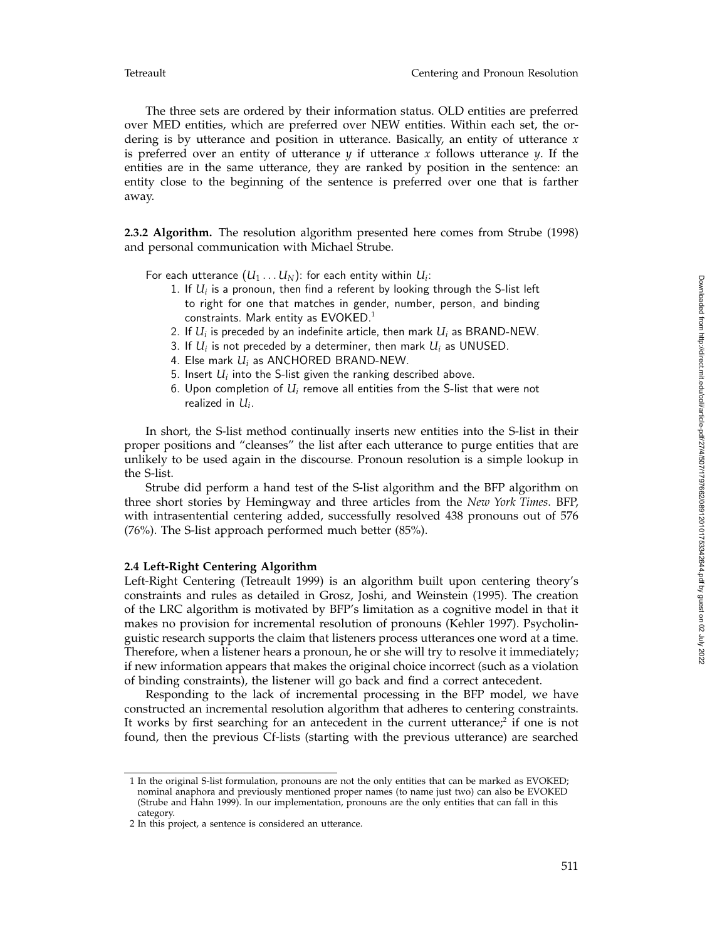The three sets are ordered by their information status. OLD entities are preferred over MED entities, which are preferred over NEW entities. Within each set, the ordering is by utterance and position in utterance. Basically, an entity of utterance *x* is preferred over an entity of utterance  $y$  if utterance  $x$  follows utterance  $y$ . If the entities are in the same utterance, they are ranked by position in the sentence: an entity close to the beginning of the sentence is preferred over one that is farther away.

**2.3.2 Algorithm.** The resolution algorithm presented here comes from Strube (1998) and personal communication with Michael Strube.

For each utterance  $(U_1 \ldots U_N)$ : for each entity within  $U_i$ :

- 1. If  $U_i$  is a pronoun, then find a referent by looking through the S-list left to right for one that matches in gender, number, person, and binding constraints. Mark entity as  $EVOKED<sup>1</sup>$
- 2. If *Ui* is preceded by an indefinite article, then mark *Ui* as BRAND-NEW.
- 3. If *Ui* is not preceded by a determiner, then mark *Ui* as UNUSED.
- 4. Else mark *Ui* as ANCHORED BRAND-NEW.
- 5. Insert *Ui* into the S-list given the ranking described above.
- 6. Upon completion of *Ui* remove all entities from the S-list that were not realized in *Ui*.

In short, the S-list method continually inserts new entities into the S-list in their proper positions and "cleanses" the list after each utterance to purge entities that are unlikely to be used again in the discourse. Pronoun resolution is a simple lookup in the S-list.

Strube did perform a hand test of the S-list algorithm and the BFP algorithm on three short stories by Hemingway and three articles from the *New York Times*. BFP, with intrasentential centering added, successfully resolved 438 pronouns out of 576 (76%). The S-list approach performed much better (85%).

## **2.4 Left-Right Centering Algorithm**

Left-Right Centering (Tetreault 1999) is an algorithm built upon centering theory's constraints and rules as detailed in Grosz, Joshi, and Weinstein (1995). The creation of the LRC algorithm is motivated by BFP's limitation as a cognitive model in that it makes no provision for incremental resolution of pronouns (Kehler 1997). Psycholinguistic research supports the claim that listeners process utterances one word at a time. Therefore, when a listener hears a pronoun, he or she will try to resolve it immediately; if new information appears that makes the original choice incorrect (such as a violation of binding constraints), the listener will go back and find a correct antecedent.

Responding to the lack of incremental processing in the BFP model, we have constructed an incremental resolution algorithm that adheres to centering constraints. It works by first searching for an antecedent in the current utterance; $\hat{f}$  if one is not found, then the previous Cf-lists (starting with the previous utterance) are searched

<sup>1</sup> In the original S-list formulation, pronouns are not the only entities that can be marked as EVOKED; nominal anaphora and previously mentioned proper names (to name just two) can also be EVOKED (Strube and Hahn 1999). In our implementation, pronouns are the only entities that can fall in this category.

<sup>2</sup> In this project, a sentence is considered an utterance.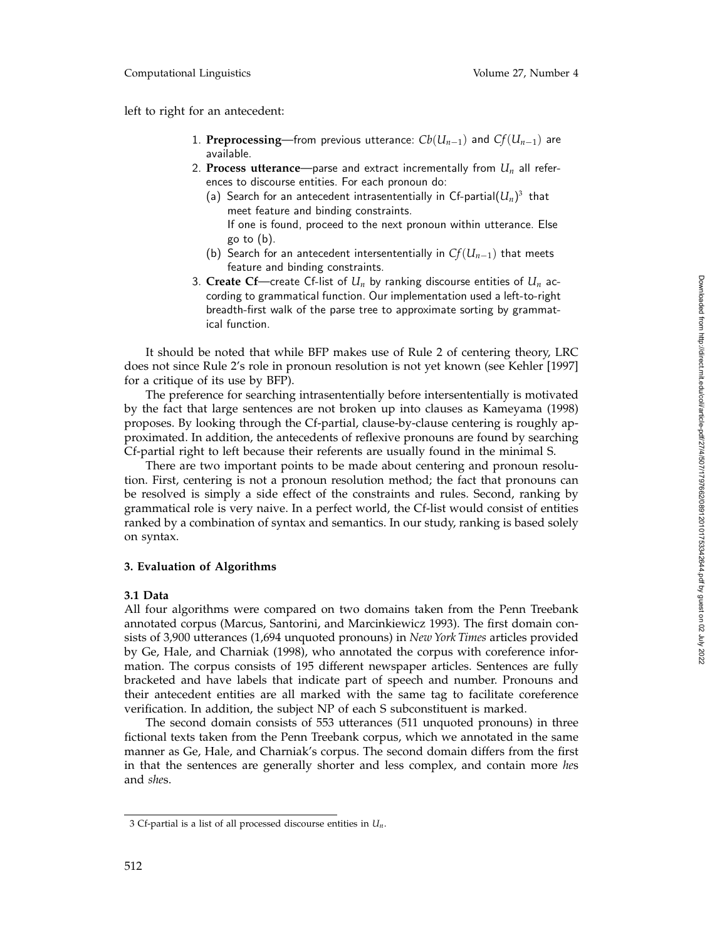left to right for an antecedent:

- 1. **Preprocessing—**from previous utterance:  $Cb(U_{n-1})$  and  $Cf(U_{n-1})$  are available.
- 2. **Process utterance**—parse and extract incrementally from *Un* all references to discourse entities. For each pronoun do:
	- (a) Search for an antecedent intrasententially in Cf-partial $(U_n)^3\,$  that meet feature and binding constraints. If one is found, proceed to the next pronoun within utterance. Else go to (b).
	- (b) Search for an antecedent intersententially in  $Cf(U_{n-1})$  that meets feature and binding constraints.
- 3.  $\bf{Create Cf—create Cf-list of }  $U_n$  by ranking discourse entities of  $U_n$  ac$ cording to grammatical function. Our implementation used a left-to-right breadth-first walk of the parse tree to approximate sorting by grammatical function.

It should be noted that while BFP makes use of Rule 2 of centering theory, LRC does not since Rule 2's role in pronoun resolution is not yet known (see Kehler [1997] for a critique of its use by BFP).

The preference for searching intrasententially before intersententially is motivated by the fact that large sentences are not broken up into clauses as Kameyama (1998) proposes. By looking through the Cf-partial, clause-by-clause centering is roughly approximated. In addition, the antecedents of reflexive pronouns are found by searching Cf-partial right to left because their referents are usually found in the minimal S.

There are two important points to be made about centering and pronoun resolution. First, centering is not a pronoun resolution method; the fact that pronouns can be resolved is simply a side effect of the constraints and rules. Second, ranking by grammatical role is very naive. In a perfect world, the Cf-list would consist of entities ranked by a combination of syntax and semantics. In our study, ranking is based solely on syntax.

## **3. Evaluation of Algorithms**

#### **3.1 Data**

All four algorithms were compared on two domains taken from the Penn Treebank annotated corpus (Marcus, Santorini, and Marcinkiewicz 1993). The first domain consists of 3,900 utterances (1,694 unquoted pronouns) in *New York Times* articles provided by Ge, Hale, and Charniak (1998), who annotated the corpus with coreference information. The corpus consists of 195 different newspaper articles. Sentences are fully bracketed and have labels that indicate part of speech and number. Pronouns and their antecedent entities are all marked with the same tag to facilitate coreference verification. In addition, the subject NP of each S subconstituent is marked.

The second domain consists of 553 utterances (511 unquoted pronouns) in three fictional texts taken from the Penn Treebank corpus, which we annotated in the same manner as Ge, Hale, and Charniak's corpus. The second domain differs from the first in that the sentences are generally shorter and less complex, and contain more *he* s and *she*s.

<sup>3</sup> Cf-partial is a list of all processed discourse entities in *Un* .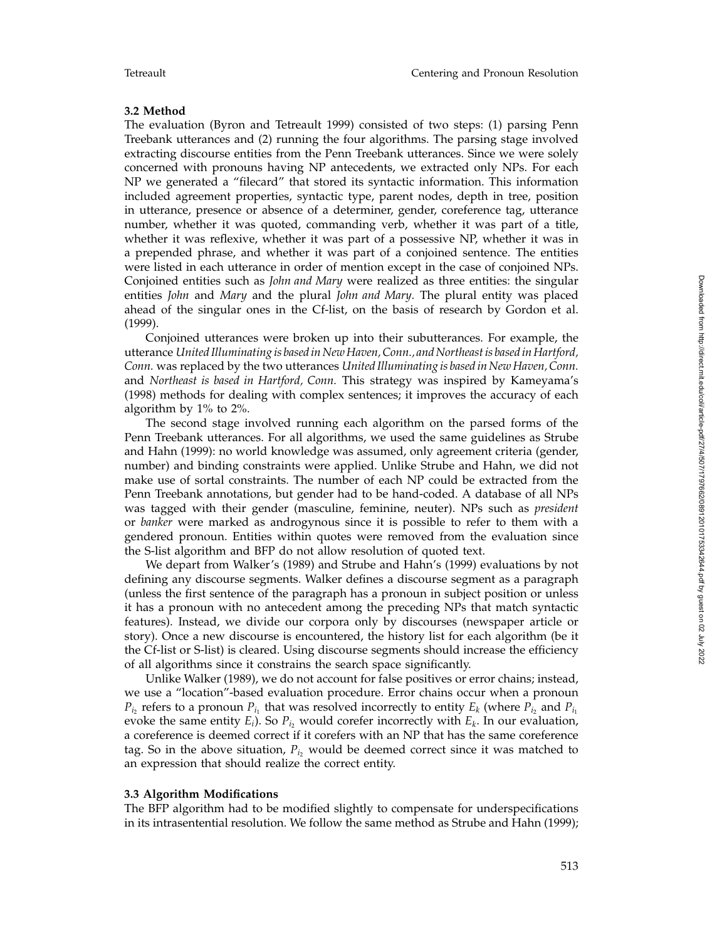## **3.2 Method**

The evaluation (Byron and Tetreault 1999) consisted of two steps: (1) parsing Penn Treebank utterances and (2) running the four algorithms. The parsing stage involved extracting discourse entities from the Penn Treebank utterances. Since we were solely concerned with pronouns having NP antecedents, we extracted only NPs. For each NP we generated a "filecard" that stored its syntactic information. This information included agreement properties, syntactic type, parent nodes, depth in tree, position in utterance, presence or absence of a determiner, gender, coreference tag, utterance number, whether it was quoted, commanding verb, whether it was part of a title, whether it was reflexive, whether it was part of a possessive NP, whether it was in a prepended phrase, and whether it was part of a conjoined sentence. The entities were listed in each utterance in order of mention except in the case of conjoined NPs. Conjoined entities such as *John and Mary* were realized as three entities: the singular entities *John* and *Mary* and the plural *John and Mary*. The plural entity was placed ahead of the singular ones in the Cf-list, on the basis of research by Gordon et al. (1999).

Conjoined utterances were broken up into their subutterances. For example, the utterance *United Illuminating is based in New Haven, Conn., and Northeast is based in Hartford, Conn.* was replaced by the two utterances *United Illuminating is based in New Haven, Conn.* and *Northeast is based in Hartford, Conn.* This strategy was inspired by Kameyama's (1998) methods for dealing with complex sentences; it improves the accuracy of each algorithm by 1% to 2%.

The second stage involved running each algorithm on the parsed forms of the Penn Treebank utterances. For all algorithms, we used the same guidelines as Strube and Hahn (1999): no world knowledge was assumed, only agreement criteria (gender, number) and binding constraints were applied. Unlike Strube and Hahn, we did not make use of sortal constraints. The number of each NP could be extracted from the Penn Treebank annotations, but gender had to be hand-coded. A database of all NPs was tagged with their gender (masculine, feminine, neuter). NPs such as *president* or *banker* were marked as androgynous since it is possible to refer to them with a gendered pronoun. Entities within quotes were removed from the evaluation since the S-list algorithm and BFP do not allow resolution of quoted text.

We depart from Walker's (1989) and Strube and Hahn's (1999) evaluations by not defining any discourse segments. Walker defines a discourse segment as a paragraph (unless the first sentence of the paragraph has a pronoun in subject position or unless it has a pronoun with no antecedent among the preceding NPs that match syntactic features). Instead, we divide our corpora only by discourses (newspaper article or story). Once a new discourse is encountered, the history list for each algorithm (be it the Cf-list or S-list) is cleared. Using discourse segments should increase the efficiency of all algorithms since it constrains the search space significantly.

Unlike Walker (1989), we do not account for false positives or error chains; instead, we use a "location"-based evaluation procedure. Error chains occur when a pronoun  $P_{i_2}$  refers to a pronoun  $P_{i_1}$  that was resolved incorrectly to entity  $E_k$  (where  $P_{i_2}$  and  $P_{i_1}$ ) evoke the same entity  $E_i$ ). So  $P_{i_2}$  would corefer incorrectly with  $E_k$ . In our evaluation, a coreference is deemed correct if it corefers with an NP that has the same coreference tag. So in the above situation, *P i* <sup>2</sup> would be deemed correct since it was matched to an expression that should realize the correct entity.

#### **3.3 Algorithm Modifications**

The BFP algorithm had to be modified slightly to compensate for underspecifications in its intrasentential resolution. We follow the same method as Strube and Hahn (1999);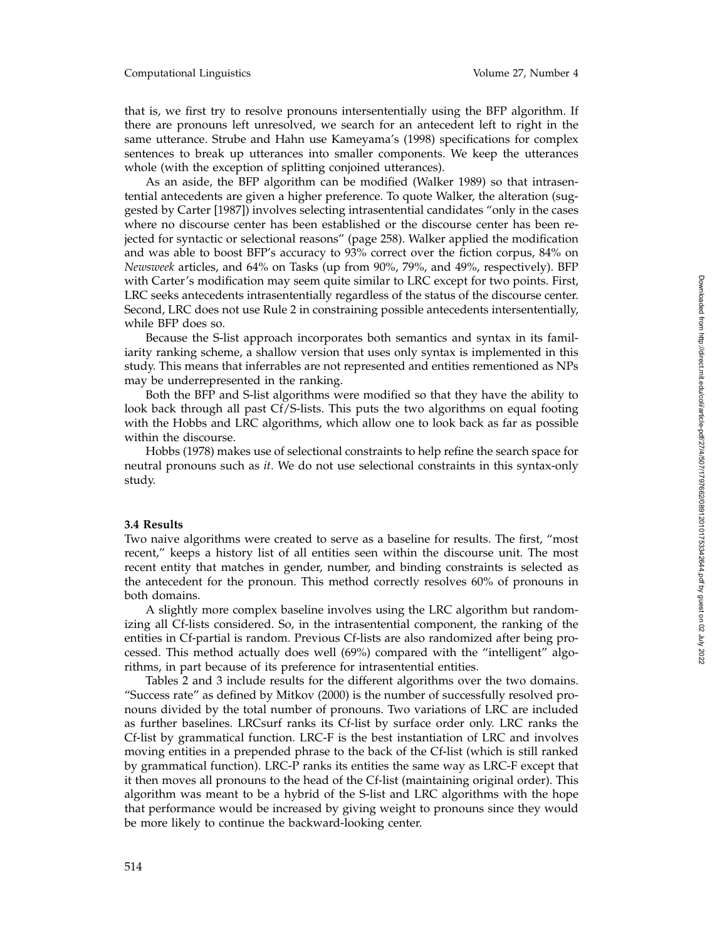that is, we first try to resolve pronouns intersententially using the BFP algorithm. If there are pronouns left unresolved, we search for an antecedent left to right in the same utterance. Strube and Hahn use Kameyama's (1998) specifications for complex sentences to break up utterances into smaller components. We keep the utterances whole (with the exception of splitting conjoined utterances).

As an aside, the BFP algorithm can be modified (Walker 1989) so that intrasentential antecedents are given a higher preference. To quote Walker, the alteration (suggested by Carter [1987]) involves selecting intrasentential candidates "only in the cases where no discourse center has been established or the discourse center has been rejected for syntactic or selectional reasons" (page 258). Walker applied the modification and was able to boost BFP's accuracy to 93% correct over the fiction corpus, 84% on *Newsweek* articles, and 64% on Tasks (up from 90%, 79%, and 49%, respectively). BFP with Carter's modification may seem quite similar to LRC except for two points. First, LRC seeks antecedents intrasententially regardless of the status of the discourse center. Second, LRC does not use Rule 2 in constraining possible antecedents intersententially, while BFP does so.

Because the S-list approach incorporates both semantics and syntax in its familiarity ranking scheme, a shallow version that uses only syntax is implemented in this study. This means that inferrables are not represented and entities rementioned as NPs may be underrepresented in the ranking.

Both the BFP and S-list algorithms were modified so that they have the ability to look back through all past Cf/S-lists. This puts the two algorithms on equal footing with the Hobbs and LRC algorithms, which allow one to look back as far as possible within the discourse.

Hobbs (1978) makes use of selectional constraints to help refine the search space for neutral pronouns such as *it*. We do not use selectional constraints in this syntax-only study.

#### **3.4 Results**

Two naive algorithms were created to serve as a baseline for results. The first, "most recent," keeps a history list of all entities seen within the discourse unit. The most recent entity that matches in gender, number, and binding constraints is selected as the antecedent for the pronoun. This method correctly resolves 60% of pronouns in both domains.

A slightly more complex baseline involves using the LRC algorithm but randomizing all Cf-lists considered. So, in the intrasentential component, the ranking of the entities in Cf-partial is random. Previous Cf-lists are also randomized after being processed. This method actually does well (69%) compared with the "intelligent" algorithms, in part because of its preference for intrasentential entities.

Tables 2 and 3 include results for the different algorithms over the two domains. "Success rate" as defined by Mitkov (2000) is the number of successfully resolved pronouns divided by the total number of pronouns. Two variations of LRC are included as further baselines. LRCsurf ranks its Cf-list by surface order only. LRC ranks the Cf-list by grammatical function. LRC-F is the best instantiation of LRC and involves moving entities in a prepended phrase to the back of the Cf-list (which is still ranked by grammatical function). LRC-P ranks its entities the same way as LRC-F except that it then moves all pronouns to the head of the Cf-list (maintaining original order). This algorithm was meant to be a hybrid of the S-list and LRC algorithms with the hope that performance would be increased by giving weight to pronouns since they would be more likely to continue the backward-looking center.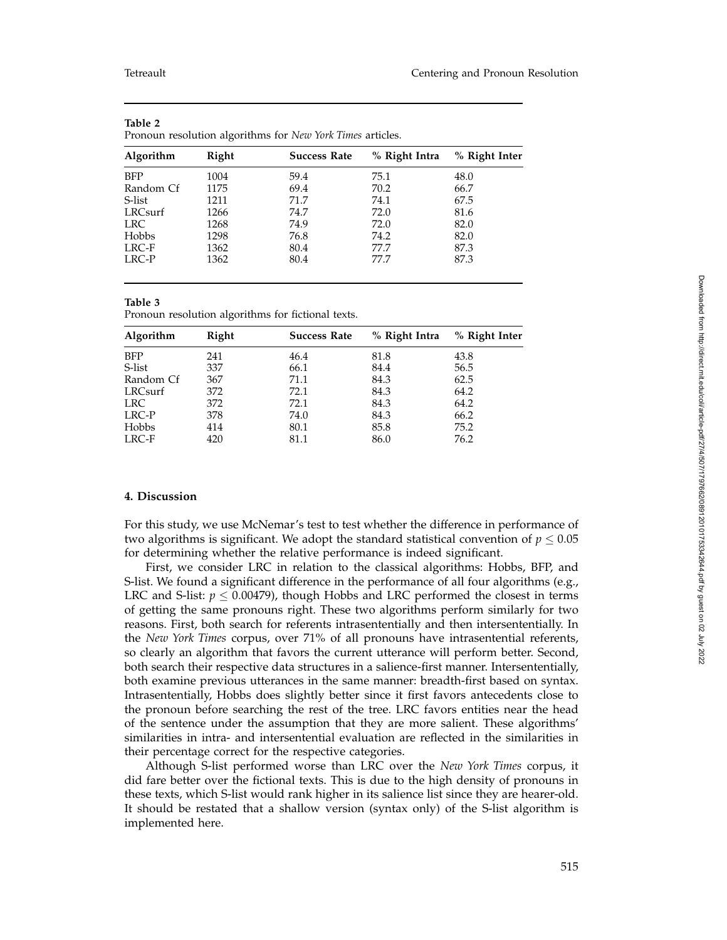| Pronoun resolution algorithms for <i>New fork limes</i> articles. |       |                     |               |               |
|-------------------------------------------------------------------|-------|---------------------|---------------|---------------|
| Algorithm                                                         | Right | <b>Success Rate</b> | % Right Intra | % Right Inter |
| <b>BFP</b>                                                        | 1004  | 59.4                | 75.1          | 48.0          |
| Random Cf                                                         | 1175  | 69.4                | 70.2          | 66.7          |
| S-list                                                            | 1211  | 71.7                | 74.1          | 67.5          |
| LRCsurf                                                           | 1266  | 74.7                | 72.0          | 81.6          |
| LRC.                                                              | 1268  | 74.9                | 72.0          | 82.0          |
| Hobbs                                                             | 1298  | 76.8                | 74.2          | 82.0          |
| LRC-F                                                             | 1362  | 80.4                | 77.7          | 87.3          |
| LRC-P                                                             | 1362  | 80.4                | 77.7          | 87.3          |
|                                                                   |       |                     |               |               |

**Table 2** Pronoun resolution algorithms for *New York Times* articles.

| Table 3 |                                                    |  |  |
|---------|----------------------------------------------------|--|--|
|         | Pronoun resolution algorithms for fictional texts. |  |  |

| Algorithm | Right | <b>Success Rate</b> | % Right Intra | % Right Inter |
|-----------|-------|---------------------|---------------|---------------|
| BFP       | 241   | 46.4                | 81.8          | 43.8          |
| S-list    | 337   | 66.1                | 84.4          | 56.5          |
| Random Cf | 367   | 71.1                | 84.3          | 62.5          |
| LRCsurf   | 372   | 72.1                | 84.3          | 64.2          |
| LRC.      | 372   | 72.1                | 84.3          | 64.2          |
| LRC-P     | 378   | 74.0                | 84.3          | 66.2          |
| Hobbs     | 414   | 80.1                | 85.8          | 75.2          |
| LRC-F     | 420   | 81.1                | 86.0          | 76.2          |

## **4. Discussion**

For this study, we use McNemar's test to test whether the difference in performance of two algorithms is significant. We adopt the standard statistical convention of  $p \leq 0.05$ for determining whether the relative performance is indeed significant.

First, we consider LRC in relation to the classical algorithms: Hobbs, BFP, and S-list. We found a significant difference in the performance of all four algorithms (e.g., LRC and S-list:  $p \le 0.00479$ ), though Hobbs and LRC performed the closest in terms of getting the same pronouns right. These two algorithms perform similarly for two reasons. First, both search for referents intrasententially and then intersententially. In the *New York Times* corpus, over 71% of all pronouns have intrasentential referents, so clearly an algorithm that favors the current utterance will perform better. Second, both search their respective data structures in a salience-first manner. Intersententially, both examine previous utterances in the same manner: breadth-first based on syntax. Intrasententially, Hobbs does slightly better since it first favors antecedents close to the pronoun before searching the rest of the tree. LRC favors entities near the head of the sentence under the assumption that they are more salient. These algorithms' similarities in intra- and intersentential evaluation are reflected in the similarities in their percentage correct for the respective categories.

Although S-list performed worse than LRC over the *New York Times* corpus, it did fare better over the fictional texts. This is due to the high density of pronouns in these texts, which S-list would rank higher in its salience list since they are hearer-old. It should be restated that a shallow version (syntax only) of the S-list algorithm is implemented here.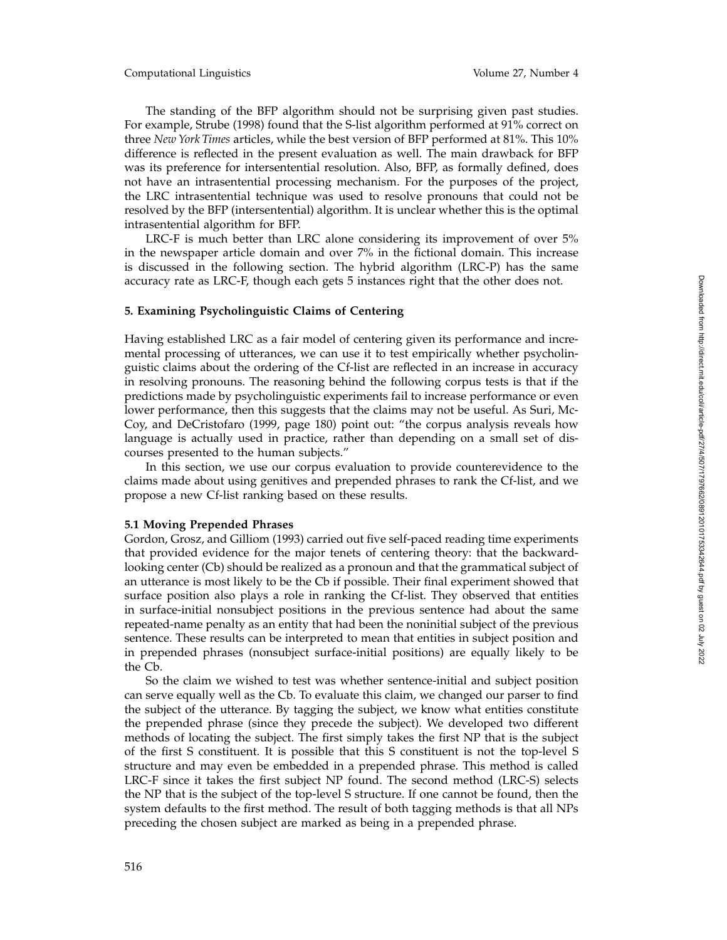The standing of the BFP algorithm should not be surprising given past studies. For example, Strube (1998) found that the S-list algorithm performed at 91% correct on three *New York Times* articles, while the best version of BFP performed at 81%. This 10% difference is reflected in the present evaluation as well. The main drawback for BFP was its preference for intersentential resolution. Also, BFP, as formally defined, does not have an intrasentential processing mechanism. For the purposes of the project, the LRC intrasentential technique was used to resolve pronouns that could not be resolved by the BFP (intersentential) algorithm. It is unclear whether this is the optimal intrasentential algorithm for BFP.

LRC-F is much better than LRC alone considering its improvement of over 5% in the newspaper article domain and over 7% in the fictional domain. This increase is discussed in the following section. The hybrid algorithm (LRC-P) has the same accuracy rate as LRC-F, though each gets 5 instances right that the other does not.

## **5. Examining Psycholinguistic Claims of Centering**

Having established LRC as a fair model of centering given its performance and incremental processing of utterances, we can use it to test empirically whether psycholinguistic claims about the ordering of the Cf-list are reflected in an increase in accuracy in resolving pronouns. The reasoning behind the following corpus tests is that if the predictions made by psycholinguistic experiments fail to increase performance or even lower performance, then this suggests that the claims may not be useful. As Suri, Mc-Coy, and DeCristofaro (1999, page 180) point out: "the corpus analysis reveals how language is actually used in practice, rather than depending on a small set of discourses presented to the human subjects."

In this section, we use our corpus evaluation to provide counterevidence to the claims made about using genitives and prepended phrases to rank the Cf-list, and we propose a new Cf-list ranking based on these results.

#### **5.1 Moving Prepended Phrases**

Gordon, Grosz, and Gilliom (1993) carried out five self-paced reading time experiments that provided evidence for the major tenets of centering theory: that the backwardlooking center (Cb) should be realized as a pronoun and that the grammatical subject of an utterance is most likely to be the Cb if possible. Their final experiment showed that surface position also plays a role in ranking the Cf-list. They observed that entities in surface-initial nonsubject positions in the previous sentence had about the same repeated-name penalty as an entity that had been the noninitial subject of the previous sentence. These results can be interpreted to mean that entities in subject position and in prepended phrases (nonsubject surface-initial positions) are equally likely to be the Cb.

So the claim we wished to test was whether sentence-initial and subject position can serve equally well as the Cb. To evaluate this claim, we changed our parser to find the subject of the utterance. By tagging the subject, we know what entities constitute the prepended phrase (since they precede the subject). We developed two different methods of locating the subject. The first simply takes the first NP that is the subject of the first S constituent. It is possible that this S constituent is not the top-level S structure and may even be embedded in a prepended phrase. This method is called LRC-F since it takes the first subject NP found. The second method (LRC-S) selects the NP that is the subject of the top-level S structure. If one cannot be found, then the system defaults to the first method. The result of both tagging methods is that all NPs preceding the chosen subject are marked as being in a prepended phrase.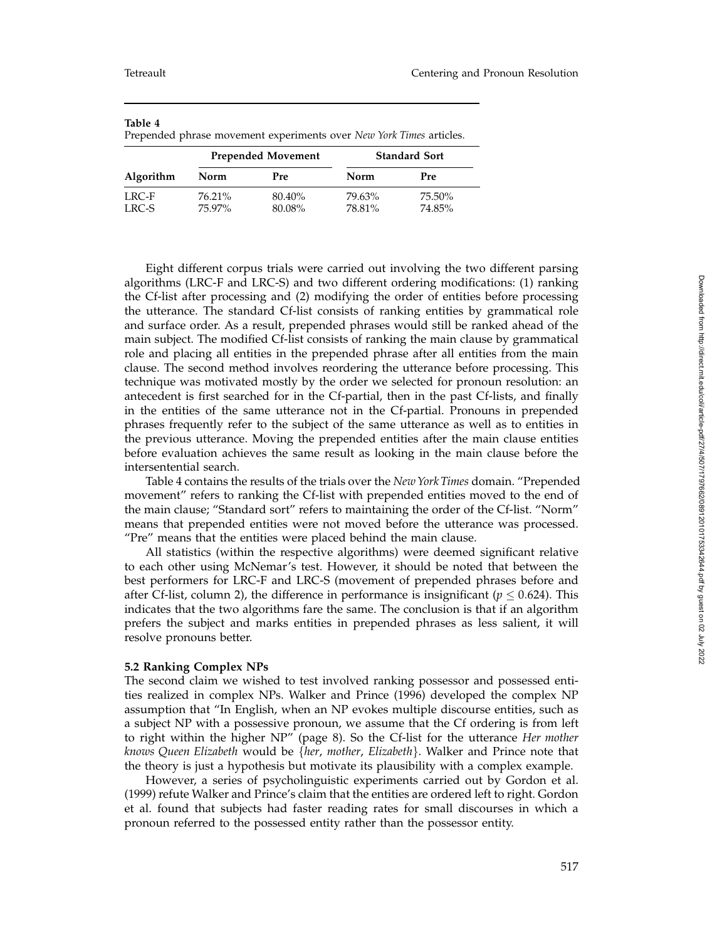| Prepended phrase movement experiments over New York Times articles. |                  |                     |                  |                      |
|---------------------------------------------------------------------|------------------|---------------------|------------------|----------------------|
| <b>Prepended Movement</b>                                           |                  |                     |                  | <b>Standard Sort</b> |
| Algorithm                                                           | <b>Norm</b>      | Pre                 | Norm             | Pre                  |
| LRC-F<br>LRC-S                                                      | 76.21%<br>75.97% | $80.40\%$<br>80.08% | 79.63%<br>78.81% | 75.50%<br>74.85%     |

**Table 4**

Eight different corpus trials were carried out involving the two different parsing algorithms (LRC-F and LRC-S) and two different ordering modifications: (1) ranking the Cf-list after processing and (2) modifying the order of entities before processing the utterance. The standard Cf-list consists of ranking entities by grammatical role and surface order. As a result, prepended phrases would still be ranked ahead of the main subject. The modified Cf-list consists of ranking the main clause by grammatical role and placing all entities in the prepended phrase after all entities from the main clause. The second method involves reordering the utterance before processing. This technique was motivated mostly by the order we selected for pronoun resolution: an antecedent is first searched for in the Cf-partial, then in the past Cf-lists, and finally in the entities of the same utterance not in the Cf-partial. Pronouns in prepended phrases frequently refer to the subject of the same utterance as well as to entities in the previous utterance. Moving the prepended entities after the main clause entities before evaluation achieves the same result as looking in the main clause before the intersentential search.

Table 4 contains the results of the trials over the *New York Times* domain. "Prepended movement" refers to ranking the Cf-list with prepended entities moved to the end of the main clause; "Standard sort" refers to maintaining the order of the Cf-list. "Norm" means that prepended entities were not moved before the utterance was processed. "Pre" means that the entities were placed behind the main clause.

All statistics (within the respective algorithms) were deemed significant relative to each other using McNemar's test. However, it should be noted that between the best performers for LRC-F and LRC-S (movement of prepended phrases before and after Cf-list, column 2), the difference in performance is insignificant ( $p \le 0.624$ ). This indicates that the two algorithms fare the same. The conclusion is that if an algorithm prefers the subject and marks entities in prepended phrases as less salient, it will resolve pronouns better.

## **5.2 Ranking Complex NPs**

The second claim we wished to test involved ranking possessor and possessed entities realized in complex NPs. Walker and Prince (1996) developed the complex NP assumption that "In English, when an NP evokes multiple discourse entities, such as a subject NP with a possessive pronoun, we assume that the Cf ordering is from left to right within the higher NP" (page 8). So the Cf-list for the utterance *Her mother knows Queen Elizabeth* would be {*her*, *mother*, *Elizabeth*}. Walker and Prince note that the theory is just a hypothesis but motivate its plausibility with a complex example.

However, a series of psycholinguistic experiments carried out by Gordon et al. (1999) refute Walker and Prince's claim that the entities are ordered left to right. Gordon et al. found that subjects had faster reading rates for small discourses in which a pronoun referred to the possessed entity rather than the possessor entity.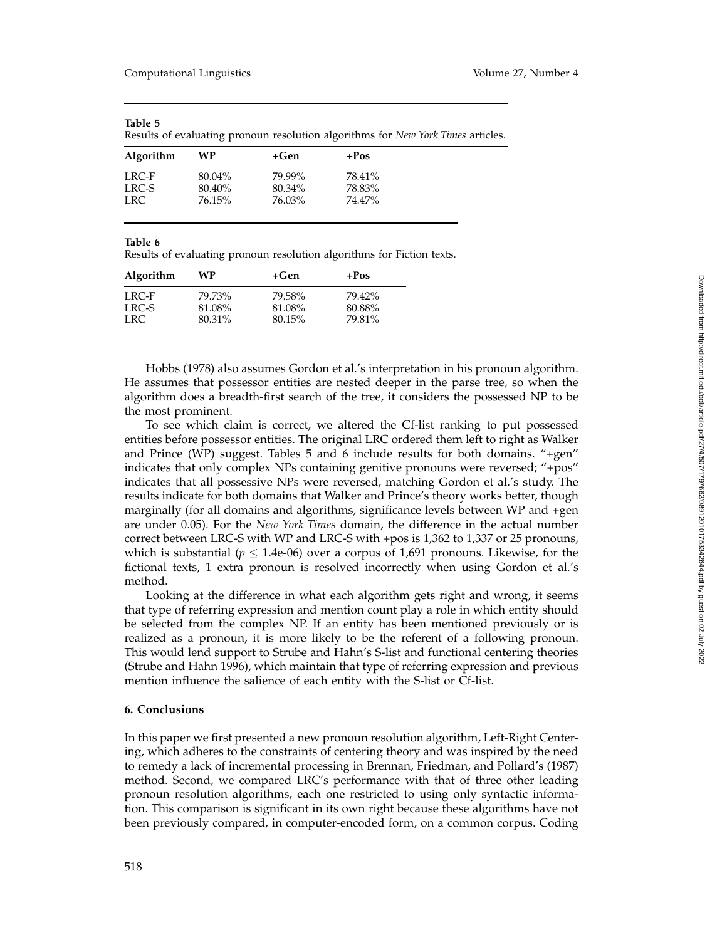| Results of evaluating pronoun resolution algorithms for New York Tim |        |        |        |  |
|----------------------------------------------------------------------|--------|--------|--------|--|
| Algorithm                                                            | WР     | +Gen   | $+Pos$ |  |
| LRC-F                                                                | 80.04% | 79.99% | 78.41% |  |
| LRC-S                                                                | 80.40% | 80.34% | 78.83% |  |
| LRC.                                                                 | 76.15% | 76.03% | 74.47% |  |

**Table 5** nes articles.

**Table 6**

Results of evaluating pronoun resolution algorithms for Fiction texts.

| Algorithm | WP     | +Gen   | $+Pos$ |
|-----------|--------|--------|--------|
| LRC-F     | 79.73% | 79.58% | 79.42% |
| LRC-S     | 81.08% | 81.08% | 80.88% |
| LRC.      | 80.31% | 80.15% | 79.81% |

Hobbs (1978) also assumes Gordon et al.'s interpretation in his pronoun algorithm. He assumes that possessor entities are nested deeper in the parse tree, so when the algorithm does a breadth-first search of the tree, it considers the possessed NP to be the most prominent.

To see which claim is correct, we altered the Cf-list ranking to put possessed entities before possessor entities. The original LRC ordered them left to right as Walker and Prince (WP) suggest. Tables 5 and 6 include results for both domains. "+gen" indicates that only complex NPs containing genitive pronouns were reversed; "+pos" indicates that all possessive NPs were reversed, matching Gordon et al.'s study. The results indicate for both domains that Walker and Prince's theory works better, though marginally (for all domains and algorithms, significance levels between WP and +gen are under 0.05). For the *New York Times* domain, the difference in the actual number correct between LRC-S with WP and LRC-S with +pos is 1,362 to 1,337 or 25 pronouns, which is substantial ( $p \leq 1.4e^{-0.06}$ ) over a corpus of 1,691 pronouns. Likewise, for the fictional texts, 1 extra pronoun is resolved incorrectly when using Gordon et al.'s method.

Looking at the difference in what each algorithm gets right and wrong, it seems that type of referring expression and mention count play a role in which entity should be selected from the complex NP. If an entity has been mentioned previously or is realized as a pronoun, it is more likely to be the referent of a following pronoun. This would lend support to Strube and Hahn's S-list and functional centering theories (Strube and Hahn 1996), which maintain that type of referring expression and previous mention influence the salience of each entity with the S-list or Cf-list.

#### **6. Conclusions**

In this paper we first presented a new pronoun resolution algorithm, Left-Right Centering, which adheres to the constraints of centering theory and was inspired by the need to remedy a lack of incremental processing in Brennan, Friedman, and Pollard's (1987) method. Second, we compared LRC's performance with that of three other leading pronoun resolution algorithms, each one restricted to using only syntactic information. This comparison is significant in its own right because these algorithms have not been previously compared, in computer-encoded form, on a common corpus. Coding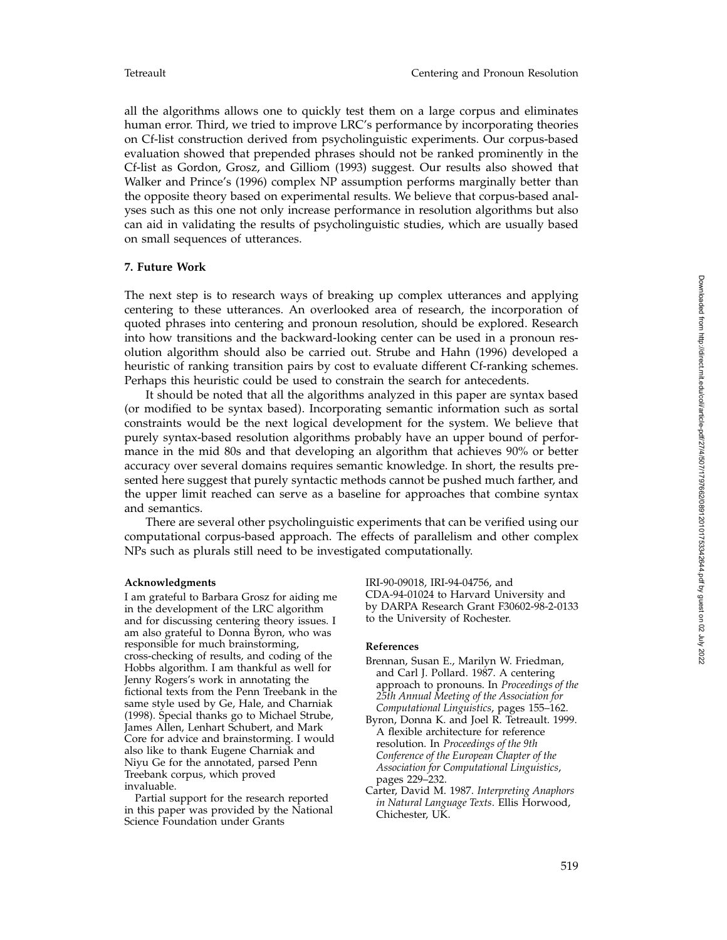all the algorithms allows one to quickly test them on a large corpus and eliminates human error. Third, we tried to improve LRC's performance by incorporating theories on Cf-list construction derived from psycholinguistic experiments. Our corpus-based evaluation showed that prepended phrases should not be ranked prominently in the Cf-list as Gordon, Grosz, and Gilliom (1993) suggest. Our results also showed that Walker and Prince's (1996) complex NP assumption performs marginally better than the opposite theory based on experimental results. We believe that corpus-based analyses such as this one not only increase performance in resolution algorithms but also can aid in validating the results of psycholinguistic studies, which are usually based on small sequences of utterances.

## **7. Future Work**

The next step is to research ways of breaking up complex utterances and applying centering to these utterances. An overlooked area of research, the incorporation of quoted phrases into centering and pronoun resolution, should be explored. Research into how transitions and the backward-looking center can be used in a pronoun resolution algorithm should also be carried out. Strube and Hahn (1996) developed a heuristic of ranking transition pairs by cost to evaluate different Cf-ranking schemes. Perhaps this heuristic could be used to constrain the search for antecedents.

It should be noted that all the algorithms analyzed in this paper are syntax based (or modified to be syntax based). Incorporating semantic information such as sortal constraints would be the next logical development for the system. We believe that purely syntax-based resolution algorithms probably have an upper bound of performance in the mid 80s and that developing an algorithm that achieves 90% or better accuracy over several domains requires semantic knowledge. In short, the results presented here suggest that purely syntactic methods cannot be pushed much farther, and the upper limit reached can serve as a baseline for approaches that combine syntax and semantics.

There are several other psycholinguistic experiments that can be verified using our computational corpus-based approach. The effects of parallelism and other complex NPs such as plurals still need to be investigated computationally.

#### **Acknowledgments**

I am grateful to Barbara Grosz for aiding me in the development of the LRC algorithm and for discussing centering theory issues. I am also grateful to Donna Byron, who was responsible for much brainstorming, cross-checking of results, and coding of the Hobbs algorithm. I am thankful as well for Jenny Rogers's work in annotating the fictional texts from the Penn Treebank in the same style used by Ge, Hale, and Charniak (1998). Special thanks go to Michael Strube, James Allen, Lenhart Schubert, and Mark Core for advice and brainstorming. I would also like to thank Eugene Charniak and Niyu Ge for the annotated, parsed Penn Treebank corpus, which proved invaluable.

Partial support for the research reported in this paper was provided by the National Science Foundation under Grants

IRI-90-09018, IRI-94-04756, and CDA-94-01024 to Harvard University and by DARPA Research Grant F30602-98-2-0133 to the University of Rochester.

#### **References**

- Brennan, Susan E., Marilyn W. Friedman, and Carl J. Pollard. 1987. A centering approach to pronouns. In *Proceedings of the 25th Annual Meeting of the Association for Computational Linguistics*, pages 155–162.
- Byron, Donna K. and Joel R. Tetreault. 1999. A flexible architecture for reference resolution. In *Proceedings of the 9th Conference of the European Chapter of the Association for Computational Linguistics* , pages 229–232.
- Carter, David M. 1987. *Interpreting Anaphors in Natural Language Texts*. Ellis Horwood, Chichester, UK.